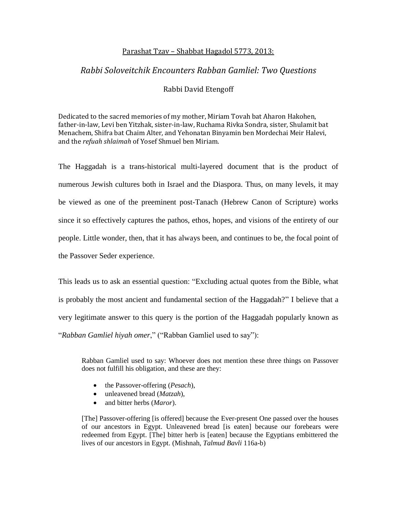## Parashat Tzav – Shabbat Hagadol 5773, 2013:

## *Rabbi Soloveitchik Encounters Rabban Gamliel: Two Questions*

## Rabbi David Etengoff

Dedicated to the sacred memories of my mother, Miriam Tovah bat Aharon Hakohen, father-in-law, Levi ben Yitzhak, sister-in-law, Ruchama Rivka Sondra, sister, Shulamit bat Menachem, Shifra bat Chaim Alter, and Yehonatan Binyamin ben Mordechai Meir Halevi, and the *refuah shlaimah* of Yosef Shmuel ben Miriam.

The Haggadah is a trans-historical multi-layered document that is the product of numerous Jewish cultures both in Israel and the Diaspora. Thus, on many levels, it may be viewed as one of the preeminent post-Tanach (Hebrew Canon of Scripture) works since it so effectively captures the pathos, ethos, hopes, and visions of the entirety of our people. Little wonder, then, that it has always been, and continues to be, the focal point of the Passover Seder experience.

This leads us to ask an essential question: "Excluding actual quotes from the Bible, what is probably the most ancient and fundamental section of the Haggadah?" I believe that a very legitimate answer to this query is the portion of the Haggadah popularly known as "*Rabban Gamliel hiyah omer*," ("Rabban Gamliel used to say"):

Rabban Gamliel used to say: Whoever does not mention these three things on Passover does not fulfill his obligation, and these are they:

- the Passover-offering (*Pesach*),
- unleavened bread (*Matzah*),
- and bitter herbs (*Maror*).

[The] Passover-offering [is offered] because the Ever-present One passed over the houses of our ancestors in Egypt. Unleavened bread [is eaten] because our forebears were redeemed from Egypt. [The] bitter herb is [eaten] because the Egyptians embittered the lives of our ancestors in Egypt. (Mishnah, *Talmud Bavli* 116a-b)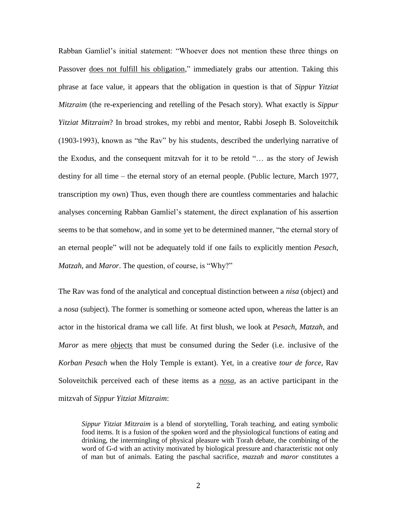Rabban Gamliel's initial statement: "Whoever does not mention these three things on Passover does not fulfill his obligation," immediately grabs our attention. Taking this phrase at face value, it appears that the obligation in question is that of *Sippur Yitziat Mitzraim* (the re-experiencing and retelling of the Pesach story). What exactly is *Sippur Yitziat Mitzraim*? In broad strokes, my rebbi and mentor, Rabbi Joseph B. Soloveitchik (1903-1993), known as "the Rav" by his students, described the underlying narrative of the Exodus, and the consequent mitzvah for it to be retold "… as the story of Jewish destiny for all time – the eternal story of an eternal people. (Public lecture, March 1977, transcription my own) Thus, even though there are countless commentaries and halachic analyses concerning Rabban Gamliel's statement, the direct explanation of his assertion seems to be that somehow, and in some yet to be determined manner, "the eternal story of an eternal people" will not be adequately told if one fails to explicitly mention *Pesach*, *Matzah*, and *Maror*. The question, of course, is "Why?"

The Rav was fond of the analytical and conceptual distinction between a *nisa* (object) and a *nosa* (subject). The former is something or someone acted upon, whereas the latter is an actor in the historical drama we call life. At first blush, we look at *Pesach*, *Matzah*, and *Maror* as mere objects that must be consumed during the Seder (i.e. inclusive of the *Korban Pesach* when the Holy Temple is extant). Yet, in a creative *tour de force*, Rav Soloveitchik perceived each of these items as a *nosa*, as an active participant in the mitzvah of *Sippur Yitziat Mitzraim*:

*Sippur Yitziat Mitzraim* is a blend of storytelling, Torah teaching, and eating symbolic food items. It is a fusion of the spoken word and the physiological functions of eating and drinking, the intermingling of physical pleasure with Torah debate, the combining of the word of G-d with an activity motivated by biological pressure and characteristic not only of man but of animals. Eating the paschal sacrifice, *mazzah* and *maror* constitutes a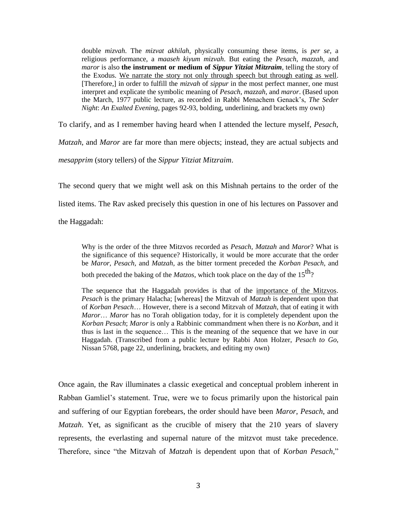double *mizvah*. The *mizvat akhilah*, physically consuming these items, is *per se*, a religious performance, a *maaseh kiyum mizvah*. But eating the *Pesach*, *mazzah*, and *maror* is also **the instrument or medium of** *Sippur Yitziat Mitzraim*, telling the story of the Exodus. We narrate the story not only through speech but through eating as well. [Therefore,] in order to fulfill the *mizvah* of *sippur* in the most perfect manner, one must interpret and explicate the symbolic meaning of *Pesach*, *mazzah*, and *maror*. (Based upon the March, 1977 public lecture, as recorded in Rabbi Menachem Genack's, *The Seder Night*: *An Exalted Evening*, pages 92-93, bolding, underlining, and brackets my own)

To clarify, and as I remember having heard when I attended the lecture myself, *Pesach*,

*Matzah*, and *Maror* are far more than mere objects; instead, they are actual subjects and *mesapprim* (story tellers) of the *Sippur Yitziat Mitzraim*.

The second query that we might well ask on this Mishnah pertains to the order of the listed items. The Rav asked precisely this question in one of his lectures on Passover and

the Haggadah:

Why is the order of the three Mitzvos recorded as *Pesach, Matzah* and *Maror*? What is the significance of this sequence? Historically, it would be more accurate that the order be *Maror, Pesach,* and *Matzah*, as the bitter torment preceded the *Korban Pesach*, and both preceded the baking of the *Matzos*, which took place on the day of the 15<sup>th</sup>?

The sequence that the Haggadah provides is that of the importance of the Mitzvos. *Pesach* is the primary Halacha; [whereas] the Mitzvah of *Matzah* is dependent upon that of *Korban Pesach*… However, there is a second Mitzvah of *Matzah*, that of eating it with *Maror*… *Maror* has no Torah obligation today, for it is completely dependent upon the *Korban Pesach*; *Maror* is only a Rabbinic commandment when there is no *Korban*, and it thus is last in the sequence… This is the meaning of the sequence that we have in our Haggadah. (Transcribed from a public lecture by Rabbi Aton Holzer, *Pesach to Go*, Nissan 5768, page 22, underlining, brackets, and editing my own)

Once again, the Rav illuminates a classic exegetical and conceptual problem inherent in Rabban Gamliel's statement. True, were we to focus primarily upon the historical pain and suffering of our Egyptian forebears, the order should have been *Maror*, *Pesach*, and *Matzah*. Yet, as significant as the crucible of misery that the 210 years of slavery represents, the everlasting and supernal nature of the mitzvot must take precedence. Therefore, since "the Mitzvah of *Matzah* is dependent upon that of *Korban Pesach*,"